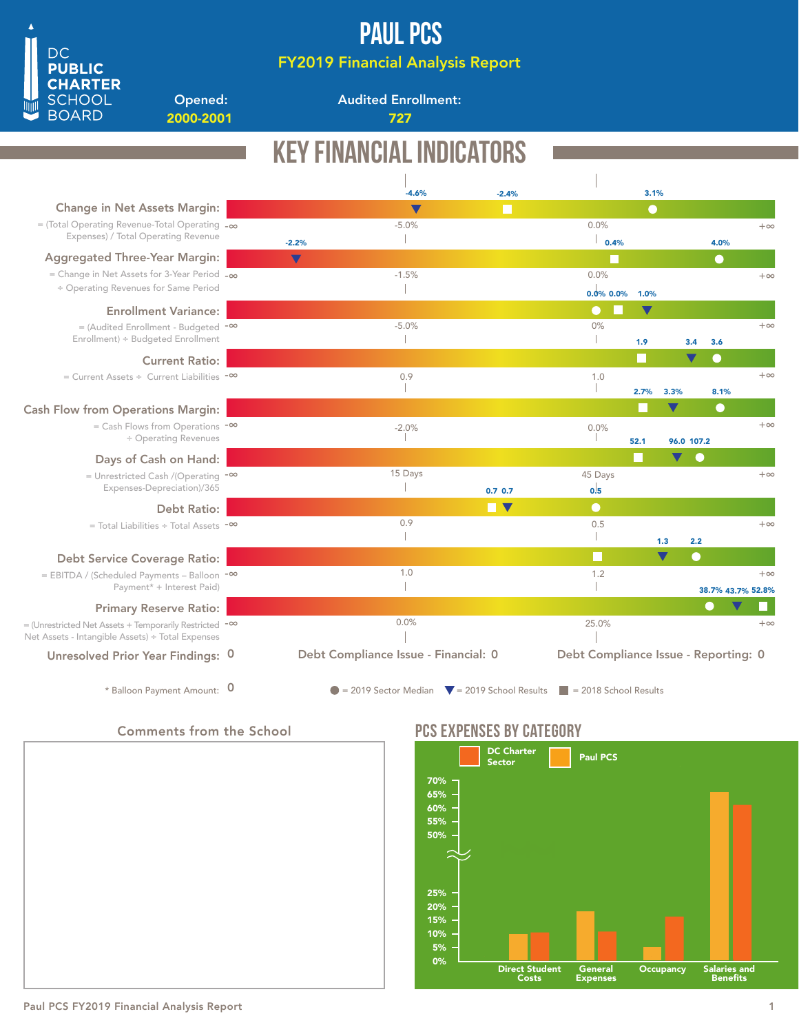

FY2019 Financial Analysis Report

Opened: 2000-2001 727

**DC PUBLIC CHARTER SCHOOL BOARD** 

Audited Enrollment:

|                                                                                                            |                      | <b>KEY FINANCIAL INDICA</b>                                    |                           |                                      |                      |            |                          |           |
|------------------------------------------------------------------------------------------------------------|----------------------|----------------------------------------------------------------|---------------------------|--------------------------------------|----------------------|------------|--------------------------|-----------|
|                                                                                                            |                      |                                                                |                           |                                      |                      |            |                          |           |
| <b>Change in Net Assets Margin:</b>                                                                        |                      | $-4.6%$<br>$\blacktriangledown$                                | $-2.4%$<br>11             |                                      | 3.1%<br>$\bullet$    |            |                          |           |
| $=$ (Total Operating Revenue-Total Operating $-\infty$                                                     |                      | $-5.0%$                                                        |                           | 0.0%                                 |                      |            |                          | $+\infty$ |
| Expenses) / Total Operating Revenue                                                                        | $-2.2%$              |                                                                |                           | 0.4%                                 |                      |            | 4.0%                     |           |
| <b>Aggregated Three-Year Margin:</b>                                                                       | $\blacktriangledown$ |                                                                |                           | L                                    |                      |            | $\bullet$                |           |
| = Change in Net Assets for 3-Year Period $-\infty$                                                         |                      | $-1.5%$                                                        |                           | 0.0%                                 |                      |            |                          | $+\infty$ |
| ÷ Operating Revenues for Same Period                                                                       |                      |                                                                |                           | $0.0\%$ 0.0%                         | 1.0%                 |            |                          |           |
| <b>Enrollment Variance:</b>                                                                                |                      |                                                                |                           | $\bullet$                            | $\blacktriangledown$ |            |                          |           |
| = (Audited Enrollment - Budgeted -∞                                                                        |                      | $-5.0%$                                                        |                           | 0%                                   |                      |            |                          | $+\infty$ |
| Enrollment) ÷ Budgeted Enrollment                                                                          |                      |                                                                |                           |                                      | 1.9                  | 3.4        | 3.6                      |           |
| <b>Current Ratio:</b>                                                                                      |                      |                                                                |                           |                                      | H                    | V          | $\hspace{1.5cm} \bullet$ |           |
| = Current Assets ÷ Current Liabilities $-\infty$                                                           |                      | 0.9                                                            |                           | 1.0                                  |                      |            |                          | $+\infty$ |
|                                                                                                            |                      |                                                                |                           |                                      | 2.7%                 | 3.3%       | 8.1%                     |           |
| <b>Cash Flow from Operations Margin:</b>                                                                   |                      |                                                                |                           |                                      |                      |            | $\bullet$                |           |
| $=$ Cash Flows from Operations $-\infty$                                                                   |                      | $-2.0%$                                                        |                           | 0.0%                                 |                      |            |                          | $+\infty$ |
| ÷ Operating Revenues                                                                                       |                      |                                                                |                           |                                      | 52.1                 | 96.0 107.2 |                          |           |
| Days of Cash on Hand:                                                                                      |                      |                                                                |                           |                                      |                      | v<br>- 6   |                          |           |
| = Unrestricted Cash /(Operating -00                                                                        |                      | 15 Days                                                        |                           | 45 Days                              |                      |            |                          | $+\infty$ |
| Expenses-Depreciation)/365                                                                                 |                      |                                                                | $0.7$ 0.7                 | 0.5                                  |                      |            |                          |           |
| <b>Debt Ratio:</b>                                                                                         |                      |                                                                | H<br>$\blacktriangledown$ | $\bullet$                            |                      |            |                          |           |
| $=$ Total Liabilities ÷ Total Assets $-$ <sup>∞</sup>                                                      |                      | 0.9                                                            |                           | 0.5                                  |                      |            |                          | $+\infty$ |
|                                                                                                            |                      |                                                                |                           |                                      |                      | 1.3<br>2.2 |                          |           |
| <b>Debt Service Coverage Ratio:</b>                                                                        |                      |                                                                |                           |                                      |                      | c          |                          |           |
| = EBITDA / (Scheduled Payments - Balloon -00<br>Payment* + Interest Paid)                                  |                      | 1.0                                                            |                           | 1.2                                  |                      |            |                          | $+\infty$ |
|                                                                                                            |                      |                                                                |                           |                                      |                      |            | 38.7% 43.7% 52.8%        |           |
| <b>Primary Reserve Ratio:</b>                                                                              |                      | 0.0%                                                           |                           |                                      |                      |            |                          | $+\infty$ |
| = (Unrestricted Net Assets + Temporarily Restricted -∞<br>Net Assets - Intangible Assets) ÷ Total Expenses |                      |                                                                |                           | 25.0%                                |                      |            |                          |           |
| Unresolved Prior Year Findings: 0                                                                          |                      | Debt Compliance Issue - Financial: 0                           |                           | Debt Compliance Issue - Reporting: 0 |                      |            |                          |           |
| * Balloon Payment Amount: 0                                                                                |                      | $\bullet$ = 2019 Sector Median $\bullet$ = 2019 School Results |                           | $\vert$ = 2018 School Results        |                      |            |                          |           |

## Comments from the School



## PCS EXPENSES BY CATEGORY



### Paul PCS FY2019 Financial Analysis Report